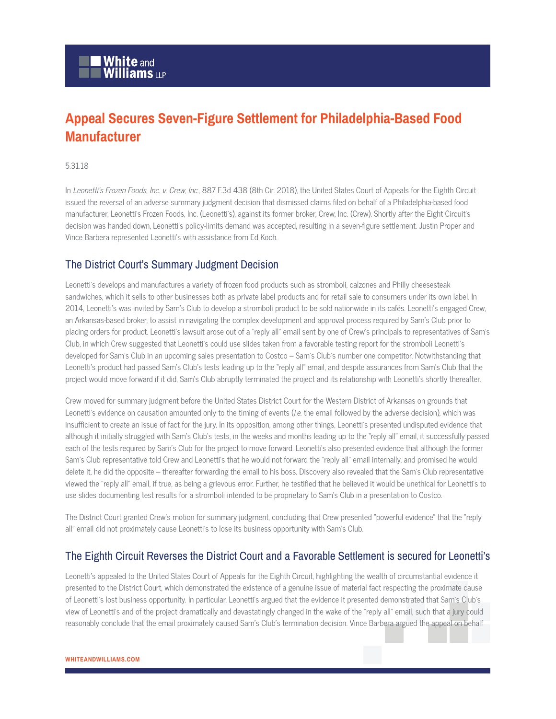## **Appeal Secures Seven-Figure Settlement for Philadelphia-Based Food Manufacturer**

## 5.31.18

In Leonetti's Frozen Foods, Inc. v. Crew, Inc., 887 F.3d 438 (8th Cir. 2018), the United States Court of Appeals for the Eighth Circuit issued the reversal of an adverse summary judgment decision that dismissed claims filed on behalf of a Philadelphia-based food manufacturer, Leonetti's Frozen Foods, Inc. (Leonetti's), against its former broker, Crew, Inc. (Crew). Shortly after the Eight Circuit's decision was handed down, Leonetti's policy-limits demand was accepted, resulting in a seven-figure settlement. Justin Proper and Vince Barbera represented Leonetti's with assistance from Ed Koch.

## The District Court's Summary Judgment Decision

Leonetti's develops and manufactures a variety of frozen food products such as stromboli, calzones and Philly cheesesteak sandwiches, which it sells to other businesses both as private label products and for retail sale to consumers under its own label. In 2014, Leonetti's was invited by Sam's Club to develop a stromboli product to be sold nationwide in its cafés. Leonetti's engaged Crew, an Arkansas-based broker, to assist in navigating the complex development and approval process required by Sam's Club prior to placing orders for product. Leonetti's lawsuit arose out of a "reply all" email sent by one of Crew's principals to representatives of Sam's Club, in which Crew suggested that Leonetti's could use slides taken from a favorable testing report for the stromboli Leonetti's developed for Sam's Club in an upcoming sales presentation to Costco – Sam's Club's number one competitor. Notwithstanding that Leonetti's product had passed Sam's Club's tests leading up to the "reply all" email, and despite assurances from Sam's Club that the project would move forward if it did, Sam's Club abruptly terminated the project and its relationship with Leonetti's shortly thereafter.

Crew moved for summary judgment before the United States District Court for the Western District of Arkansas on grounds that Leonetti's evidence on causation amounted only to the timing of events (i.e. the email followed by the adverse decision), which was insufficient to create an issue of fact for the jury. In its opposition, among other things, Leonetti's presented undisputed evidence that although it initially struggled with Sam's Club's tests, in the weeks and months leading up to the "reply all" email, it successfully passed each of the tests required by Sam's Club for the project to move forward. Leonetti's also presented evidence that although the former Sam's Club representative told Crew and Leonetti's that he would not forward the "reply all" email internally, and promised he would delete it, he did the opposite – thereafter forwarding the email to his boss. Discovery also revealed that the Sam's Club representative viewed the "reply all" email, if true, as being a grievous error. Further, he testified that he believed it would be unethical for Leonetti's to use slides documenting test results for a stromboli intended to be proprietary to Sam's Club in a presentation to Costco.

The District Court granted Crew's motion for summary judgment, concluding that Crew presented "powerful evidence" that the "reply all" email did not proximately cause Leonetti's to lose its business opportunity with Sam's Club.

## The Eighth Circuit Reverses the District Court and a Favorable Settlement is secured for Leonetti's

Leonetti's appealed to the United States Court of Appeals for the Eighth Circuit, highlighting the wealth of circumstantial evidence it presented to the District Court, which demonstrated the existence of a genuine issue of material fact respecting the proximate cause of Leonetti's lost business opportunity. In particular, Leonetti's argued that the evidence it presented demonstrated that Sam's Club's view of Leonetti's and of the project dramatically and devastatingly changed in the wake of the "reply all" email, such that a jury could reasonably conclude that the email proximately caused Sam's Club's termination decision. Vince Barbera argued the appeal on behalf